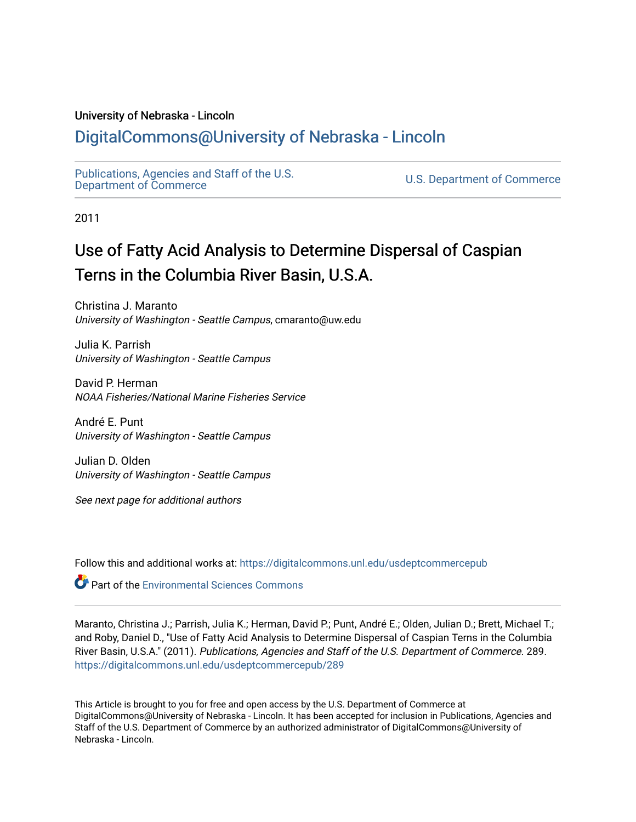# University of Nebraska - Lincoln

# [DigitalCommons@University of Nebraska - Lincoln](https://digitalcommons.unl.edu/)

[Publications, Agencies and Staff of the U.S.](https://digitalcommons.unl.edu/usdeptcommercepub)

U.S. [Department of Commerce](https://digitalcommons.unl.edu/usdeptcommercepub)

2011

# Use of Fatty Acid Analysis to Determine Dispersal of Caspian Terns in the Columbia River Basin, U.S.A.

Christina J. Maranto University of Washington - Seattle Campus, cmaranto@uw.edu

Julia K. Parrish University of Washington - Seattle Campus

David P. Herman NOAA Fisheries/National Marine Fisheries Service

André E. Punt University of Washington - Seattle Campus

Julian D. Olden University of Washington - Seattle Campus

See next page for additional authors

Follow this and additional works at: [https://digitalcommons.unl.edu/usdeptcommercepub](https://digitalcommons.unl.edu/usdeptcommercepub?utm_source=digitalcommons.unl.edu%2Fusdeptcommercepub%2F289&utm_medium=PDF&utm_campaign=PDFCoverPages)

Part of the [Environmental Sciences Commons](http://network.bepress.com/hgg/discipline/167?utm_source=digitalcommons.unl.edu%2Fusdeptcommercepub%2F289&utm_medium=PDF&utm_campaign=PDFCoverPages)

Maranto, Christina J.; Parrish, Julia K.; Herman, David P.; Punt, André E.; Olden, Julian D.; Brett, Michael T.; and Roby, Daniel D., "Use of Fatty Acid Analysis to Determine Dispersal of Caspian Terns in the Columbia River Basin, U.S.A." (2011). Publications, Agencies and Staff of the U.S. Department of Commerce. 289. [https://digitalcommons.unl.edu/usdeptcommercepub/289](https://digitalcommons.unl.edu/usdeptcommercepub/289?utm_source=digitalcommons.unl.edu%2Fusdeptcommercepub%2F289&utm_medium=PDF&utm_campaign=PDFCoverPages) 

This Article is brought to you for free and open access by the U.S. Department of Commerce at DigitalCommons@University of Nebraska - Lincoln. It has been accepted for inclusion in Publications, Agencies and Staff of the U.S. Department of Commerce by an authorized administrator of DigitalCommons@University of Nebraska - Lincoln.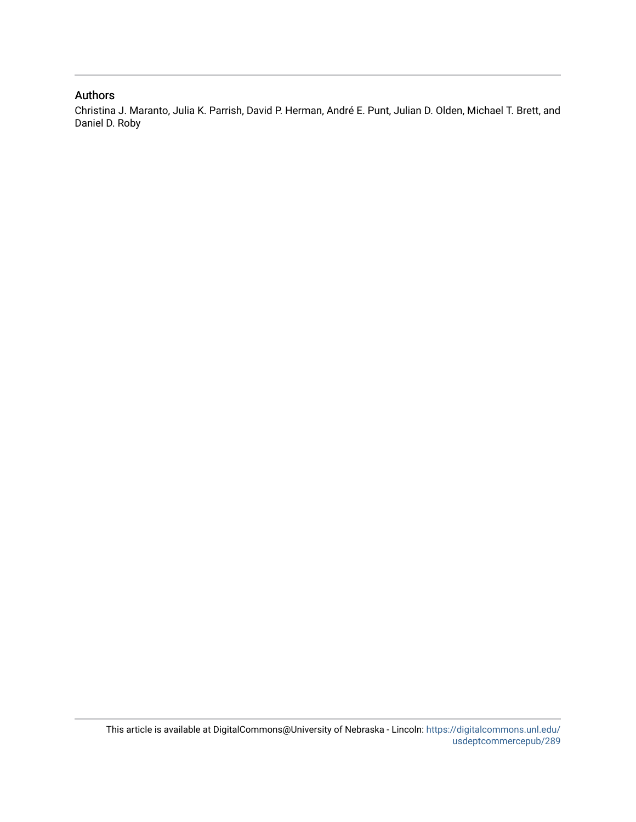# Authors

Christina J. Maranto, Julia K. Parrish, David P. Herman, André E. Punt, Julian D. Olden, Michael T. Brett, and Daniel D. Roby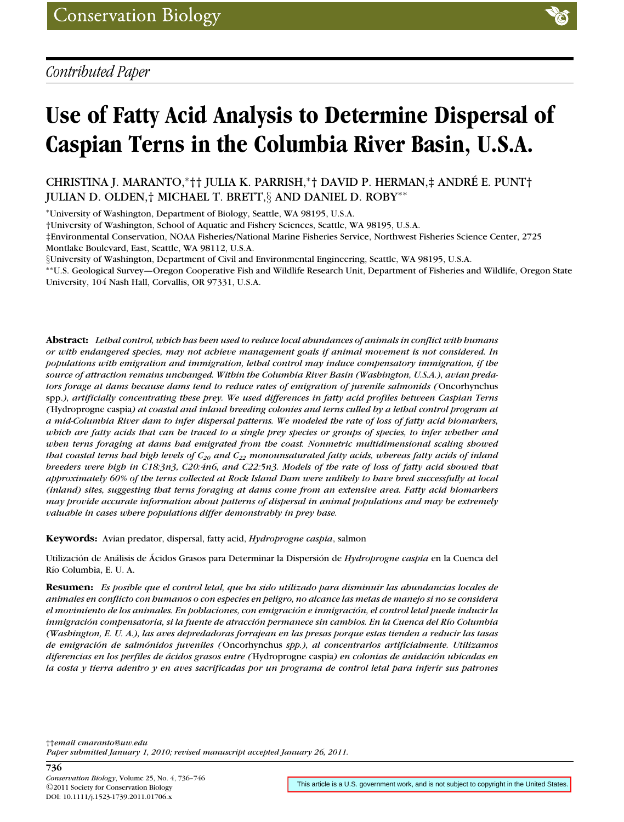*Contributed Paper*

# **Use of Fatty Acid Analysis to Determine Dispersal of Caspian Terns in the Columbia River Basin, U.S.A.**

# CHRISTINA J. MARANTO,∗†† JULIA K. PARRISH,∗† DAVID P. HERMAN,‡ ANDRE E. PUNT† ´ JULIAN D. OLDEN,† MICHAEL T. BRETT,§ AND DANIEL D. ROBY∗∗

<sup>∗</sup>University of Washington, Department of Biology, Seattle, WA 98195, U.S.A.

†University of Washington, School of Aquatic and Fishery Sciences, Seattle, WA 98195, U.S.A.

‡Environmental Conservation, NOAA Fisheries/National Marine Fisheries Service, Northwest Fisheries Science Center, 2725 Montlake Boulevard, East, Seattle, WA 98112, U.S.A.

§University of Washington, Department of Civil and Environmental Engineering, Seattle, WA 98195, U.S.A.

∗∗U.S. Geological Survey—Oregon Cooperative Fish and Wildlife Research Unit, Department of Fisheries and Wildlife, Oregon State University, 104 Nash Hall, Corvallis, OR 97331, U.S.A.

**Abstract:** *Lethal control, which has been used to reduce local abundances of animals in conflict with humans or with endangered species, may not achieve management goals if animal movement is not considered. In populations with emigration and immigration, lethal control may induce compensatory immigration, if the source of attraction remains unchanged. Within the Columbia River Basin (Washington, U.S.A.), avian predators forage at dams because dams tend to reduce rates of emigration of juvenile salmonids (*Oncorhynchus spp.*), artificially concentrating these prey. We used differences in fatty acid profiles between Caspian Terns (*Hydroprogne caspia*) at coastal and inland breeding colonies and terns culled by a lethal control program at a mid-Columbia River dam to infer dispersal patterns. We modeled the rate of loss of fatty acid biomarkers, which are fatty acids that can be traced to a single prey species or groups of species, to infer whether and when terns foraging at dams had emigrated from the coast. Nonmetric multidimensional scaling showed that coastal terns had high levels of C20 and C22 monounsaturated fatty acids, whereas fatty acids of inland breeders were high in C18:3n3, C20:4n6, and C22:5n3. Models of the rate of loss of fatty acid showed that approximately 60% of the terns collected at Rock Island Dam were unlikely to have bred successfully at local (inland) sites, suggesting that terns foraging at dams come from an extensive area. Fatty acid biomarkers may provide accurate information about patterns of dispersal in animal populations and may be extremely valuable in cases where populations differ demonstrably in prey base.*

**Keywords:** Avian predator, dispersal, fatty acid, *Hydroprogne caspia*, salmon

Utilización de Análisis de Ácidos Grasos para Determinar la Dispersión de Hydroprogne caspia en la Cuenca del Río Columbia, E. U. A.

**Resumen:** *Es posible que el control letal, que ha sido utilizado para disminuir las abundancias locales de animales en conflicto con humanos o con especies en peligro, no alcance las metas de manejo si no se considera el movimiento de los animales. En poblaciones, con emigracion e inmigraci ´ on, el control letal puede inducir la ´ inmigracion compensatoria, si la fuente de atracci ´ on permanece sin cambios. En la Cuenca del R ´ ´ıo Columbia (Washington, E. U. A.), las aves depredadoras forrajean en las presas porque estas tienden a reducir las tasas de emigracion de salm ´ onidos juveniles ( ´* Oncorhynchus *spp.), al concentrarlos artificialmente. Utilizamos diferencias en los perfiles de acidos grasos entre ( ´* Hydroprogne caspia*) en colonias de anidacion ubicadas en ´ la costa y tierra adentro y en aves sacrificadas por un programa de control letal para inferir sus patrones*

††*email cmaranto@uw.edu Paper submitted January 1, 2010; revised manuscript accepted January 26, 2011.*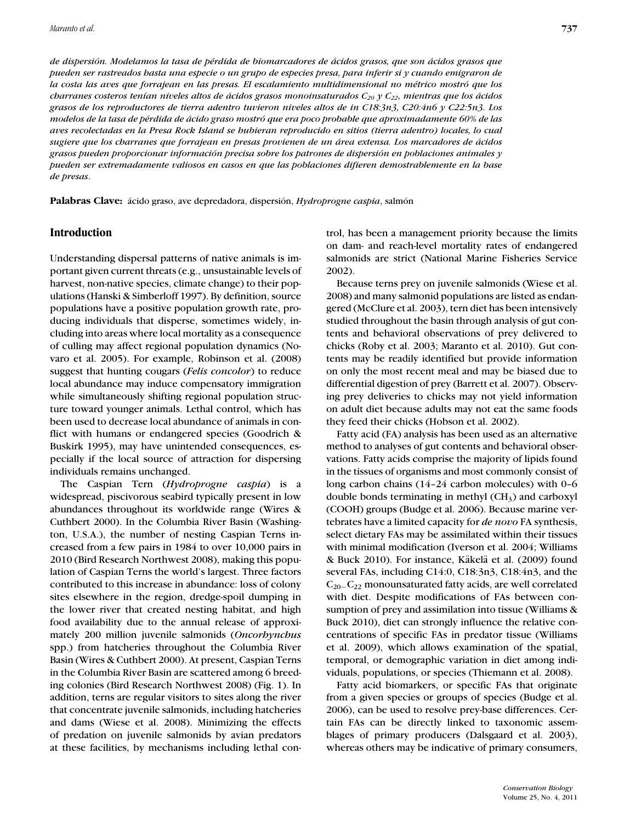*de dispersion. Modelamos la tasa de p ´ ´erdida de biomarcadores de acidos grasos, que son ´ acidos grasos que ´ pueden ser rastreados hasta una especie o un grupo de especies presa, para inferir si y cuando emigraron de la costa las aves que forrajean en las presas. El escalamiento multidimensional no m´etrico mostro que los ´ charranes costeros ten´ıan niveles altos de acidos grasos monoinsaturados C ´ <sup>20</sup> y C22, mientras que los acidos ´ grasos de los reproductores de tierra adentro tuvieron niveles altos de in C18:3n3, C20:4n6 y C22:5n3. Los modelos de la tasa de p´erdida de acido graso mostr ´ o que era poco probable que aproximadamente 60% de las ´ aves recolectadas en la Presa Rock Island se hubieran reproducido en sitios (tierra adentro) locales, lo cual sugiere que los charranes que forrajean en presas provienen de un area extensa. Los marcadores de ´ acidos ´ grasos pueden proporcionar informacion precisa sobre los patrones de dispersi ´ on en poblaciones animales y ´ pueden ser extremadamente valiosos en casos en que las poblaciones difieren demostrablemente en la base de presas*.

**Palabras Clave:** ácido graso, ave depredadora, dispersión, *Hydroprogne caspia*, salmón

# **Introduction**

Understanding dispersal patterns of native animals is important given current threats (e.g., unsustainable levels of harvest, non-native species, climate change) to their populations (Hanski & Simberloff 1997). By definition, source populations have a positive population growth rate, producing individuals that disperse, sometimes widely, including into areas where local mortality as a consequence of culling may affect regional population dynamics (Novaro et al. 2005). For example, Robinson et al. (2008) suggest that hunting cougars (*Felis concolor*) to reduce local abundance may induce compensatory immigration while simultaneously shifting regional population structure toward younger animals. Lethal control, which has been used to decrease local abundance of animals in conflict with humans or endangered species (Goodrich & Buskirk 1995), may have unintended consequences, especially if the local source of attraction for dispersing individuals remains unchanged.

The Caspian Tern (*Hydroprogne caspia*) is a widespread, piscivorous seabird typically present in low abundances throughout its worldwide range (Wires & Cuthbert 2000). In the Columbia River Basin (Washington, U.S.A.), the number of nesting Caspian Terns increased from a few pairs in 1984 to over 10,000 pairs in 2010 (Bird Research Northwest 2008), making this population of Caspian Terns the world's largest. Three factors contributed to this increase in abundance: loss of colony sites elsewhere in the region, dredge-spoil dumping in the lower river that created nesting habitat, and high food availability due to the annual release of approximately 200 million juvenile salmonids (*Oncorhynchus* spp.) from hatcheries throughout the Columbia River Basin (Wires & Cuthbert 2000). At present, Caspian Terns in the Columbia River Basin are scattered among 6 breeding colonies (Bird Research Northwest 2008) (Fig. 1). In addition, terns are regular visitors to sites along the river that concentrate juvenile salmonids, including hatcheries and dams (Wiese et al. 2008). Minimizing the effects of predation on juvenile salmonids by avian predators at these facilities, by mechanisms including lethal control, has been a management priority because the limits on dam- and reach-level mortality rates of endangered salmonids are strict (National Marine Fisheries Service 2002).

Because terns prey on juvenile salmonids (Wiese et al. 2008) and many salmonid populations are listed as endangered (McClure et al. 2003), tern diet has been intensively studied throughout the basin through analysis of gut contents and behavioral observations of prey delivered to chicks (Roby et al. 2003; Maranto et al. 2010). Gut contents may be readily identified but provide information on only the most recent meal and may be biased due to differential digestion of prey (Barrett et al. 2007). Observing prey deliveries to chicks may not yield information on adult diet because adults may not eat the same foods they feed their chicks (Hobson et al. 2002).

Fatty acid (FA) analysis has been used as an alternative method to analyses of gut contents and behavioral observations. Fatty acids comprise the majority of lipids found in the tissues of organisms and most commonly consist of long carbon chains (14–24 carbon molecules) with 0–6 double bonds terminating in methyl  $(CH<sub>3</sub>)$  and carboxyl (COOH) groups (Budge et al. 2006). Because marine vertebrates have a limited capacity for *de novo* FA synthesis, select dietary FAs may be assimilated within their tissues with minimal modification (Iverson et al. 2004; Williams & Buck 2010). For instance, Käkelä et al. (2009) found several FAs, including C14:0, C18:3n3, C18:4n3, and the C20−C22 monounsaturated fatty acids, are well correlated with diet. Despite modifications of FAs between consumption of prey and assimilation into tissue (Williams & Buck 2010), diet can strongly influence the relative concentrations of specific FAs in predator tissue (Williams et al. 2009), which allows examination of the spatial, temporal, or demographic variation in diet among individuals, populations, or species (Thiemann et al. 2008).

Fatty acid biomarkers, or specific FAs that originate from a given species or groups of species (Budge et al. 2006), can be used to resolve prey-base differences. Certain FAs can be directly linked to taxonomic assemblages of primary producers (Dalsgaard et al. 2003), whereas others may be indicative of primary consumers,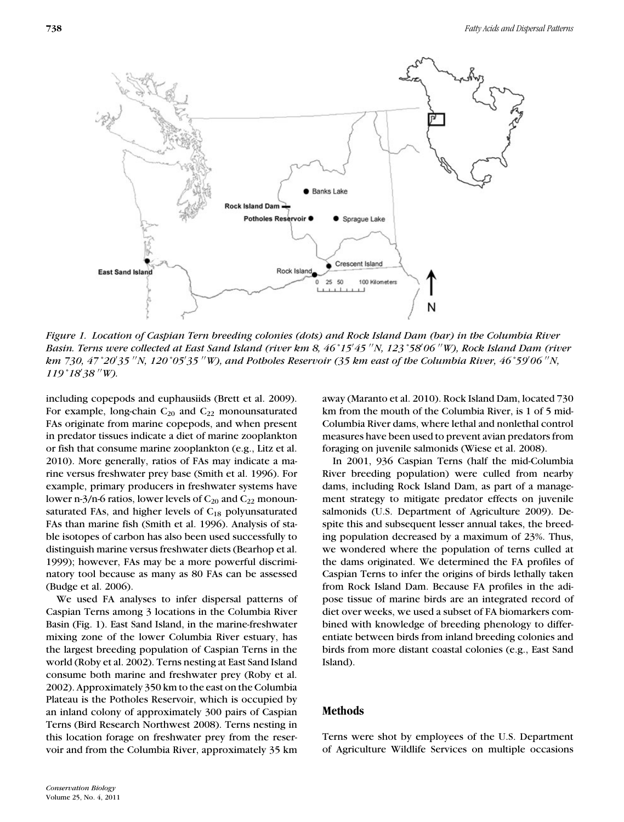

*Figure 1. Location of Caspian Tern breeding colonies (dots) and Rock Island Dam (bar) in the Columbia River Basin. Terns were collected at East Sand Island (river km 8, 46˚15 45 N, 123˚58 06 W), Rock Island Dam (river km 730, 47˚20 35 N, 120˚05 35 W), and Potholes Reservoir (35 km east of the Columbia River, 46˚59 06 N, 119˚18 38 W).*

including copepods and euphausiids (Brett et al. 2009). For example, long-chain  $C_{20}$  and  $C_{22}$  monounsaturated FAs originate from marine copepods, and when present in predator tissues indicate a diet of marine zooplankton or fish that consume marine zooplankton (e.g., Litz et al. 2010). More generally, ratios of FAs may indicate a marine versus freshwater prey base (Smith et al. 1996). For example, primary producers in freshwater systems have lower n-3/n-6 ratios, lower levels of  $C_{20}$  and  $C_{22}$  monounsaturated FAs, and higher levels of  $C_{18}$  polyunsaturated FAs than marine fish (Smith et al. 1996). Analysis of stable isotopes of carbon has also been used successfully to distinguish marine versus freshwater diets (Bearhop et al. 1999); however, FAs may be a more powerful discriminatory tool because as many as 80 FAs can be assessed (Budge et al. 2006).

We used FA analyses to infer dispersal patterns of Caspian Terns among 3 locations in the Columbia River Basin (Fig. 1). East Sand Island, in the marine-freshwater mixing zone of the lower Columbia River estuary, has the largest breeding population of Caspian Terns in the world (Roby et al. 2002). Terns nesting at East Sand Island consume both marine and freshwater prey (Roby et al. 2002). Approximately 350 km to the east on the Columbia Plateau is the Potholes Reservoir, which is occupied by an inland colony of approximately 300 pairs of Caspian Terns (Bird Research Northwest 2008). Terns nesting in this location forage on freshwater prey from the reservoir and from the Columbia River, approximately 35 km

*Conservation Biology* Volume 25, No. 4, 2011 away (Maranto et al. 2010). Rock Island Dam, located 730 km from the mouth of the Columbia River, is 1 of 5 mid-Columbia River dams, where lethal and nonlethal control measures have been used to prevent avian predators from foraging on juvenile salmonids (Wiese et al. 2008).

In 2001, 936 Caspian Terns (half the mid-Columbia River breeding population) were culled from nearby dams, including Rock Island Dam, as part of a management strategy to mitigate predator effects on juvenile salmonids (U.S. Department of Agriculture 2009). Despite this and subsequent lesser annual takes, the breeding population decreased by a maximum of 23%. Thus, we wondered where the population of terns culled at the dams originated. We determined the FA profiles of Caspian Terns to infer the origins of birds lethally taken from Rock Island Dam. Because FA profiles in the adipose tissue of marine birds are an integrated record of diet over weeks, we used a subset of FA biomarkers combined with knowledge of breeding phenology to differentiate between birds from inland breeding colonies and birds from more distant coastal colonies (e.g., East Sand Island).

## **Methods**

Terns were shot by employees of the U.S. Department of Agriculture Wildlife Services on multiple occasions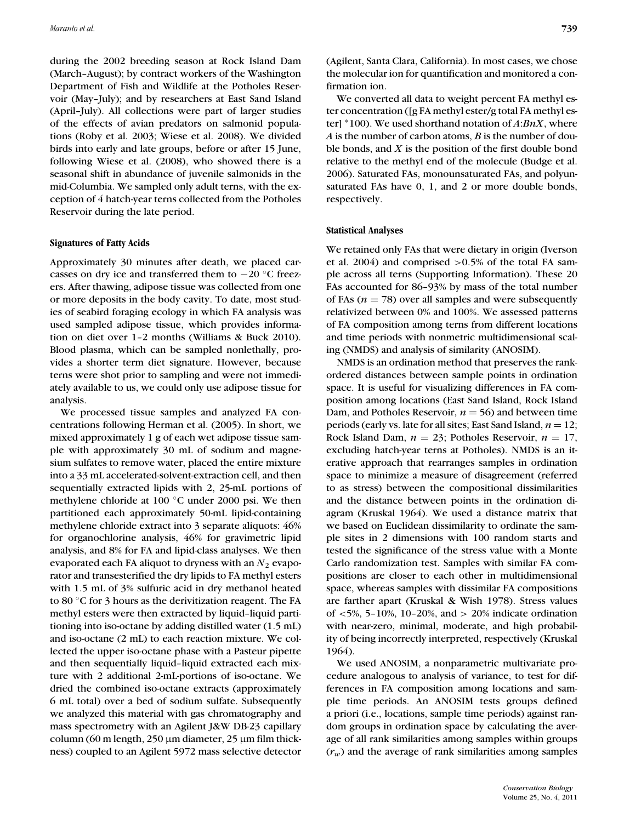during the 2002 breeding season at Rock Island Dam (March–August); by contract workers of the Washington Department of Fish and Wildlife at the Potholes Reservoir (May–July); and by researchers at East Sand Island (April–July). All collections were part of larger studies of the effects of avian predators on salmonid populations (Roby et al. 2003; Wiese et al. 2008). We divided birds into early and late groups, before or after 15 June, following Wiese et al. (2008), who showed there is a seasonal shift in abundance of juvenile salmonids in the mid-Columbia. We sampled only adult terns, with the exception of 4 hatch-year terns collected from the Potholes Reservoir during the late period.

#### **Signatures of Fatty Acids**

Approximately 30 minutes after death, we placed carcasses on dry ice and transferred them to −20 ◦C freezers. After thawing, adipose tissue was collected from one or more deposits in the body cavity. To date, most studies of seabird foraging ecology in which FA analysis was used sampled adipose tissue, which provides information on diet over 1–2 months (Williams & Buck 2010). Blood plasma, which can be sampled nonlethally, provides a shorter term diet signature. However, because terns were shot prior to sampling and were not immediately available to us, we could only use adipose tissue for analysis.

We processed tissue samples and analyzed FA concentrations following Herman et al. (2005). In short, we mixed approximately 1 g of each wet adipose tissue sample with approximately 30 mL of sodium and magnesium sulfates to remove water, placed the entire mixture into a 33 mL accelerated-solvent-extraction cell, and then sequentially extracted lipids with 2, 25-mL portions of methylene chloride at 100 ◦C under 2000 psi. We then partitioned each approximately 50-mL lipid-containing methylene chloride extract into 3 separate aliquots: 46% for organochlorine analysis, 46% for gravimetric lipid analysis, and 8% for FA and lipid-class analyses. We then evaporated each FA aliquot to dryness with an  $N_2$  evaporator and transesterified the dry lipids to FA methyl esters with 1.5 mL of 3% sulfuric acid in dry methanol heated to 80 ◦C for 3 hours as the derivitization reagent. The FA methyl esters were then extracted by liquid–liquid partitioning into iso-octane by adding distilled water (1.5 mL) and iso-octane (2 mL) to each reaction mixture. We collected the upper iso-octane phase with a Pasteur pipette and then sequentially liquid–liquid extracted each mixture with 2 additional 2-mL-portions of iso-octane. We dried the combined iso-octane extracts (approximately 6 mL total) over a bed of sodium sulfate. Subsequently we analyzed this material with gas chromatography and mass spectrometry with an Agilent J&W DB-23 capillary column (60 m length, 250  $\mu$ m diameter, 25  $\mu$ m film thickness) coupled to an Agilent 5972 mass selective detector (Agilent, Santa Clara, California). In most cases, we chose the molecular ion for quantification and monitored a confirmation ion.

We converted all data to weight percent FA methyl ester concentration ([g FA methyl ester/g total FA methyl ester] <sup>∗</sup>100). We used shorthand notation of *A*:*BnX*, where *A* is the number of carbon atoms, *B* is the number of double bonds, and *X* is the position of the first double bond relative to the methyl end of the molecule (Budge et al. 2006). Saturated FAs, monounsaturated FAs, and polyunsaturated FAs have 0, 1, and 2 or more double bonds, respectively.

#### **Statistical Analyses**

We retained only FAs that were dietary in origin (Iverson et al. 2004) and comprised  $>0.5\%$  of the total FA sample across all terns (Supporting Information). These 20 FAs accounted for 86–93% by mass of the total number of FAs  $(n = 78)$  over all samples and were subsequently relativized between 0% and 100%. We assessed patterns of FA composition among terns from different locations and time periods with nonmetric multidimensional scaling (NMDS) and analysis of similarity (ANOSIM).

NMDS is an ordination method that preserves the rankordered distances between sample points in ordination space. It is useful for visualizing differences in FA composition among locations (East Sand Island, Rock Island Dam, and Potholes Reservoir,  $n = 56$ ) and between time periods (early vs. late for all sites; East Sand Island, *n* = 12; Rock Island Dam,  $n = 23$ ; Potholes Reservoir,  $n = 17$ , excluding hatch-year terns at Potholes). NMDS is an iterative approach that rearranges samples in ordination space to minimize a measure of disagreement (referred to as stress) between the compositional dissimilarities and the distance between points in the ordination diagram (Kruskal 1964). We used a distance matrix that we based on Euclidean dissimilarity to ordinate the sample sites in 2 dimensions with 100 random starts and tested the significance of the stress value with a Monte Carlo randomization test. Samples with similar FA compositions are closer to each other in multidimensional space, whereas samples with dissimilar FA compositions are farther apart (Kruskal & Wish 1978). Stress values of <5%, 5–10%, 10–20%, and > 20% indicate ordination with near-zero, minimal, moderate, and high probability of being incorrectly interpreted, respectively (Kruskal 1964).

We used ANOSIM, a nonparametric multivariate procedure analogous to analysis of variance, to test for differences in FA composition among locations and sample time periods. An ANOSIM tests groups defined a priori (i.e., locations, sample time periods) against random groups in ordination space by calculating the average of all rank similarities among samples within groups (*rw*) and the average of rank similarities among samples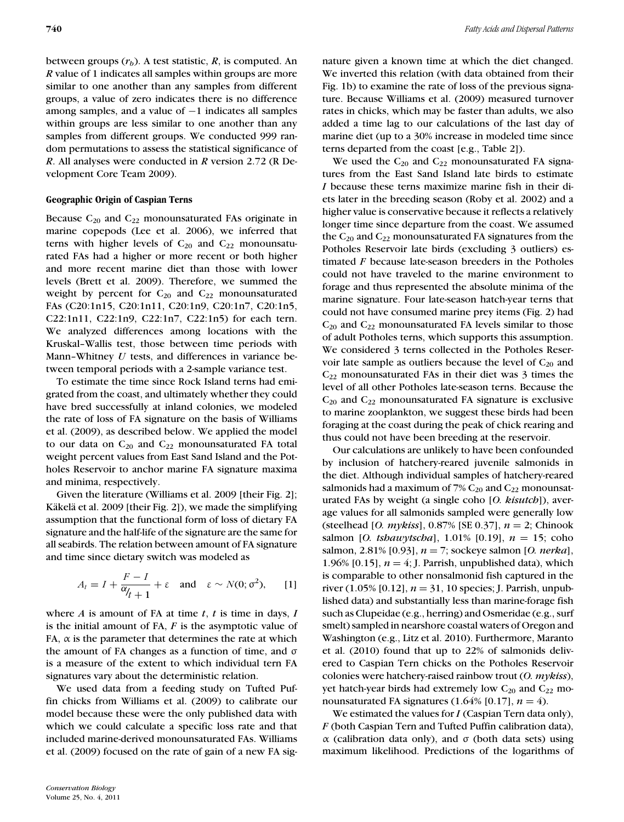between groups  $(r_b)$ . A test statistic,  $R$ , is computed. An *R* value of 1 indicates all samples within groups are more similar to one another than any samples from different groups, a value of zero indicates there is no difference among samples, and a value of −1 indicates all samples within groups are less similar to one another than any samples from different groups. We conducted 999 random permutations to assess the statistical significance of *R*. All analyses were conducted in *R* version 2.72 (R Development Core Team 2009).

#### **Geographic Origin of Caspian Terns**

Because  $C_{20}$  and  $C_{22}$  monounsaturated FAs originate in marine copepods (Lee et al. 2006), we inferred that terns with higher levels of  $C_{20}$  and  $C_{22}$  monounsaturated FAs had a higher or more recent or both higher and more recent marine diet than those with lower levels (Brett et al. 2009). Therefore, we summed the weight by percent for  $C_{20}$  and  $C_{22}$  monounsaturated FAs (C20:1n15, C20:1n11, C20:1n9, C20:1n7, C20:1n5, C22:1n11, C22:1n9, C22:1n7, C22:1n5) for each tern. We analyzed differences among locations with the Kruskal–Wallis test, those between time periods with Mann–Whitney *U* tests, and differences in variance between temporal periods with a 2-sample variance test.

To estimate the time since Rock Island terns had emigrated from the coast, and ultimately whether they could have bred successfully at inland colonies, we modeled the rate of loss of FA signature on the basis of Williams et al. (2009), as described below. We applied the model to our data on  $C_{20}$  and  $C_{22}$  monounsaturated FA total weight percent values from East Sand Island and the Potholes Reservoir to anchor marine FA signature maxima and minima, respectively.

Given the literature (Williams et al. 2009 [their Fig. 2]; Käkelä et al. 2009 [their Fig. 2]), we made the simplifying assumption that the functional form of loss of dietary FA signature and the half-life of the signature are the same for all seabirds. The relation between amount of FA signature and time since dietary switch was modeled as

$$
A_t = I + \frac{F - I}{\alpha t + 1} + \varepsilon \quad \text{and} \quad \varepsilon \sim N(0; \sigma^2), \qquad [1]
$$

where *A* is amount of FA at time *t*, *t* is time in days, *I* is the initial amount of FA, *F* is the asymptotic value of FA,  $\alpha$  is the parameter that determines the rate at which the amount of FA changes as a function of time, and σ is a measure of the extent to which individual tern FA signatures vary about the deterministic relation.

We used data from a feeding study on Tufted Puffin chicks from Williams et al. (2009) to calibrate our model because these were the only published data with which we could calculate a specific loss rate and that included marine-derived monounsaturated FAs. Williams et al. (2009) focused on the rate of gain of a new FA signature given a known time at which the diet changed. We inverted this relation (with data obtained from their Fig. 1b) to examine the rate of loss of the previous signature. Because Williams et al. (2009) measured turnover rates in chicks, which may be faster than adults, we also added a time lag to our calculations of the last day of marine diet (up to a 30% increase in modeled time since terns departed from the coast [e.g., Table 2]).

We used the  $C_{20}$  and  $C_{22}$  monounsaturated FA signatures from the East Sand Island late birds to estimate *I* because these terns maximize marine fish in their diets later in the breeding season (Roby et al. 2002) and a higher value is conservative because it reflects a relatively longer time since departure from the coast. We assumed the  $C_{20}$  and  $C_{22}$  monounsaturated FA signatures from the Potholes Reservoir late birds (excluding 3 outliers) estimated *F* because late-season breeders in the Potholes could not have traveled to the marine environment to forage and thus represented the absolute minima of the marine signature. Four late-season hatch-year terns that could not have consumed marine prey items (Fig. 2) had  $C_{20}$  and  $C_{22}$  monounsaturated FA levels similar to those of adult Potholes terns, which supports this assumption. We considered 3 terns collected in the Potholes Reservoir late sample as outliers because the level of  $C_{20}$  and  $C_{22}$  monounsaturated FAs in their diet was 3 times the level of all other Potholes late-season terns. Because the  $C_{20}$  and  $C_{22}$  monounsaturated FA signature is exclusive to marine zooplankton, we suggest these birds had been foraging at the coast during the peak of chick rearing and thus could not have been breeding at the reservoir.

Our calculations are unlikely to have been confounded by inclusion of hatchery-reared juvenile salmonids in the diet. Although individual samples of hatchery-reared salmonids had a maximum of  $7\%$  C<sub>20</sub> and C<sub>22</sub> monounsaturated FAs by weight (a single coho [*O. kisutch*]), average values for all salmonids sampled were generally low (steelhead [*O. mykiss*], 0.87% [SE 0.37], *n* = 2; Chinook salmon [*O. tshawytscha*], 1.01% [0.19], *n* = 15; coho salmon, 2.81% [0.93], *n* = 7; sockeye salmon [*O. nerka*], 1.96% [0.15],  $n = 4$ ; J. Parrish, unpublished data), which is comparable to other nonsalmonid fish captured in the river (1.05% [0.12],  $n = 31$ , 10 species; J. Parrish, unpublished data) and substantially less than marine-forage fish such as Clupeidae (e.g., herring) and Osmeridae (e.g., surf smelt) sampled in nearshore coastal waters of Oregon and Washington (e.g., Litz et al. 2010). Furthermore, Maranto et al. (2010) found that up to 22% of salmonids delivered to Caspian Tern chicks on the Potholes Reservoir colonies were hatchery-raised rainbow trout (*O. mykiss*), yet hatch-year birds had extremely low  $C_{20}$  and  $C_{22}$  monounsaturated FA signatures  $(1.64\% \, [0.17], n = 4)$ .

We estimated the values for *I* (Caspian Tern data only), *F* (both Caspian Tern and Tufted Puffin calibration data), α (calibration data only), and σ (both data sets) using maximum likelihood. Predictions of the logarithms of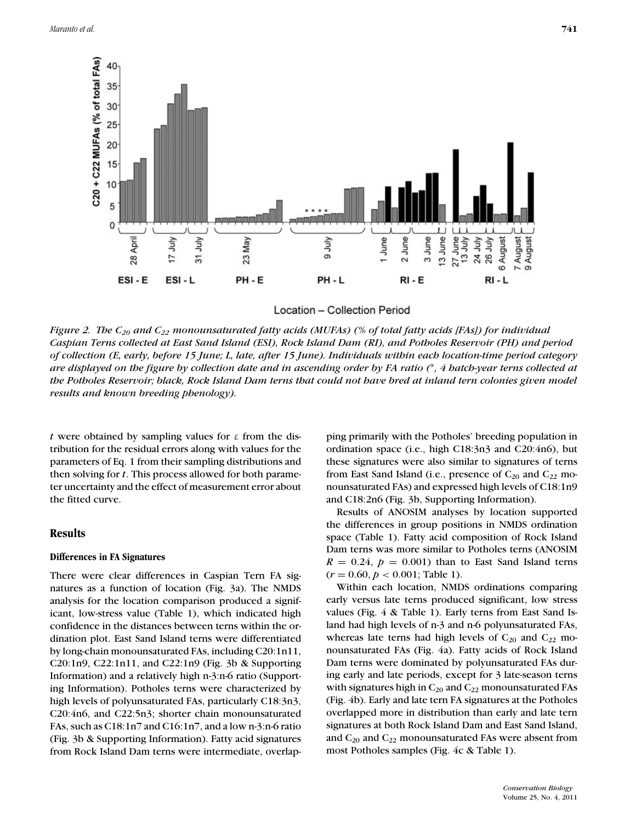

Location - Collection Period

*Figure 2. The C20 and C22 monounsaturated fatty acids (MUFAs) (% of total fatty acids [FAs]) for individual Caspian Terns collected at East Sand Island (ESI), Rock Island Dam (RI), and Potholes Reservoir (PH) and period of collection (E, early, before 15 June; L, late, after 15 June). Individuals within each location-time period category are displayed on the figure by collection date and in ascending order by FA ratio (*∗*, 4 hatch-year terns collected at the Potholes Reservoir; black, Rock Island Dam terns that could not have bred at inland tern colonies given model results and known breeding phenology).*

*t* were obtained by sampling values for ε from the distribution for the residual errors along with values for the parameters of Eq. 1 from their sampling distributions and then solving for *t*. This process allowed for both parameter uncertainty and the effect of measurement error about the fitted curve.

# **Results**

#### **Differences in FA Signatures**

There were clear differences in Caspian Tern FA signatures as a function of location (Fig. 3a). The NMDS analysis for the location comparison produced a significant, low-stress value (Table 1), which indicated high confidence in the distances between terns within the ordination plot. East Sand Island terns were differentiated by long-chain monounsaturated FAs, including C20:1n11, C20:1n9, C22:1n11, and C22:1n9 (Fig. 3b & Supporting Information) and a relatively high n-3:n-6 ratio (Supporting Information). Potholes terns were characterized by high levels of polyunsaturated FAs, particularly C18:3n3, C20:4n6, and C22:5n3; shorter chain monounsaturated FAs, such as C18:1n7 and C16:1n7, and a low n-3:n-6 ratio (Fig. 3b & Supporting Information). Fatty acid signatures from Rock Island Dam terns were intermediate, overlapping primarily with the Potholes' breeding population in ordination space (i.e., high C18:3n3 and C20:4n6), but these signatures were also similar to signatures of terns from East Sand Island (i.e., presence of  $C_{20}$  and  $C_{22}$  monounsaturated FAs) and expressed high levels of C18:1n9 and C18:2n6 (Fig. 3b, Supporting Information).

Results of ANOSIM analyses by location supported the differences in group positions in NMDS ordination space (Table 1). Fatty acid composition of Rock Island Dam terns was more similar to Potholes terns (ANOSIM  $R = 0.24$ ,  $p = 0.001$ ) than to East Sand Island terns  $(r = 0.60, p < 0.001;$  Table 1).

Within each location, NMDS ordinations comparing early versus late terns produced significant, low stress values (Fig. 4 & Table 1). Early terns from East Sand Island had high levels of n-3 and n-6 polyunsaturated FAs, whereas late terns had high levels of  $C_{20}$  and  $C_{22}$  monounsaturated FAs (Fig. 4a). Fatty acids of Rock Island Dam terns were dominated by polyunsaturated FAs during early and late periods, except for 3 late-season terns with signatures high in  $C_{20}$  and  $C_{22}$  monounsaturated FAs (Fig. 4b). Early and late tern FA signatures at the Potholes overlapped more in distribution than early and late tern signatures at both Rock Island Dam and East Sand Island, and  $C_{20}$  and  $C_{22}$  monounsaturated FAs were absent from most Potholes samples (Fig. 4c & Table 1).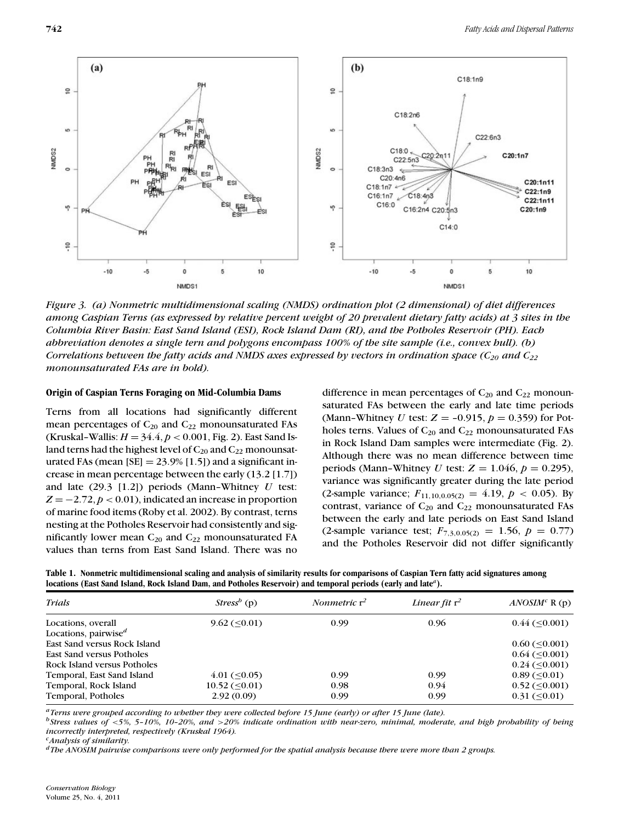

*Figure 3. (a) Nonmetric multidimensional scaling (NMDS) ordination plot (2 dimensional) of diet differences among Caspian Terns (as expressed by relative percent weight of 20 prevalent dietary fatty acids) at 3 sites in the Columbia River Basin: East Sand Island (ESI), Rock Island Dam (RI), and the Potholes Reservoir (PH). Each abbreviation denotes a single tern and polygons encompass 100% of the site sample (i.e., convex hull). (b) Correlations between the fatty acids and NMDS axes expressed by vectors in ordination space (C20 and C22 monounsaturated FAs are in bold).*

#### **Origin of Caspian Terns Foraging on Mid-Columbia Dams**

Terns from all locations had significantly different mean percentages of  $C_{20}$  and  $C_{22}$  monounsaturated FAs (Kruskal–Wallis: *H* = 34.4, *p* < 0.001, Fig. 2). East Sand Island terns had the highest level of  $C_{20}$  and  $C_{22}$  monounsaturated FAs (mean  $[SE] = 23.9\% [1.5]$ ) and a significant increase in mean percentage between the early (13.2 [1.7]) and late (29.3 [1.2]) periods (Mann–Whitney *U* test:  $Z = -2.72, p < 0.01$ , indicated an increase in proportion of marine food items (Roby et al. 2002). By contrast, terns nesting at the Potholes Reservoir had consistently and significantly lower mean  $C_{20}$  and  $C_{22}$  monounsaturated FA values than terns from East Sand Island. There was no difference in mean percentages of  $C_{20}$  and  $C_{22}$  monounsaturated FAs between the early and late time periods (Mann–Whitney *U* test:  $Z = -0.915$ ,  $p = 0.359$ ) for Potholes terns. Values of  $C_{20}$  and  $C_{22}$  monounsaturated FAs in Rock Island Dam samples were intermediate (Fig. 2). Although there was no mean difference between time periods (Mann-Whitney *U* test:  $Z = 1.046$ ,  $p = 0.295$ ), variance was significantly greater during the late period (2-sample variance;  $F_{11,10,0.05(2)} = 4.19, p < 0.05$ ). By contrast, variance of  $C_{20}$  and  $C_{22}$  monounsaturated FAs between the early and late periods on East Sand Island (2-sample variance test;  $F_{7,3,0.05(2)} = 1.56$ ,  $p = 0.77$ ) and the Potholes Reservoir did not differ significantly

**Table 1. Nonmetric multidimensional scaling and analysis of similarity results for comparisons of Caspian Tern fatty acid signatures among locations (East Sand Island, Rock Island Dam, and Potholes Reservoir) and temporal periods (early and late***<sup>a</sup>***).**

| Trials                                                              | $Stressb$ (p)       | Nonmetric $r^2$ | Linear fit $r^2$ | $ANOSIMc$ R (p)                  |
|---------------------------------------------------------------------|---------------------|-----------------|------------------|----------------------------------|
| Locations, overall<br>Locations, pairwise <sup><math>d</math></sup> | $9.62 \,(< 0.01)$   | 0.99            | 0.96             | $0.44 \,(< 0.001)$               |
| East Sand versus Rock Island                                        |                     |                 |                  | $0.60 \, (< 0.001)$              |
| <b>East Sand versus Potholes</b>                                    |                     |                 |                  | $0.64 \, (< 0.001)$              |
| Rock Island versus Potholes                                         |                     |                 |                  | $0.24 \left( \leq 0.001 \right)$ |
| Temporal, East Sand Island                                          | $4.01 \,(< 0.05)$   | 0.99            | 0.99             | $0.89 \,(< 0.01)$                |
| Temporal, Rock Island                                               | $10.52 \, (< 0.01)$ | 0.98            | 0.94             | $0.52 \, (< 0.001)$              |
| Temporal, Potholes                                                  | 2.92(0.09)          | 0.99            | 0.99             | $0.31 \,(< 0.01)$                |

*aTerns were grouped according to whether they were collected before 15 June (early) or after 15 June (late).*

*bStress values of* <*5%, 5–10%, 10–20%, and* >*20% indicate ordination with near-zero, minimal, moderate, and high probability of being incorrectly interpreted, respectively (Kruskal 1964).*

*cAnalysis of similarity.*

*dThe ANOSIM pairwise comparisons were only performed for the spatial analysis because there were more than 2 groups.*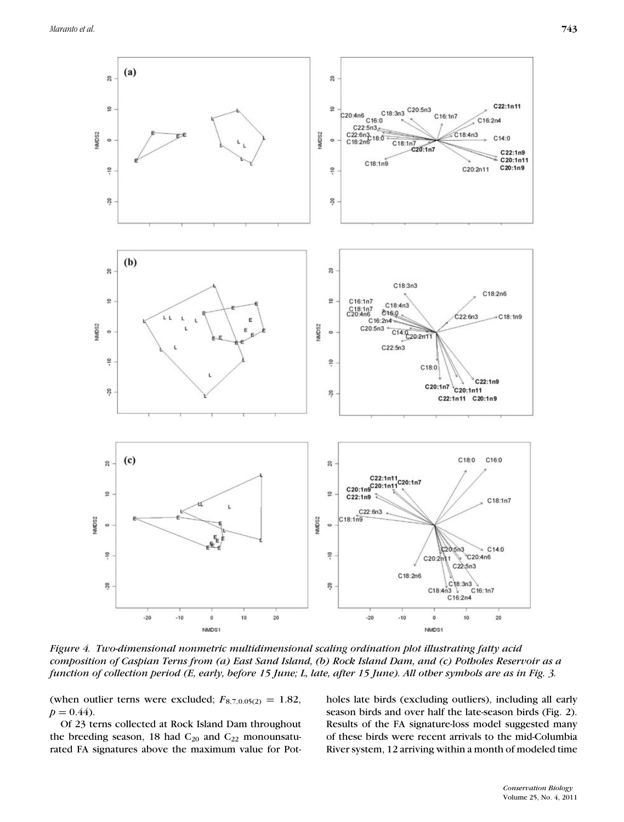

*Figure 4. Two-dimensional nonmetric multidimensional scaling ordination plot illustrating fatty acid composition of Caspian Terns from (a) East Sand Island, (b) Rock Island Dam, and (c) Potholes Reservoir as a function of collection period (E, early, before 15 June; L, late, after 15 June). All other symbols are as in Fig. 3.*

(when outlier terns were excluded;  $F_{8,7,0.05(2)} = 1.82$ ,  $p = 0.44$ .

Of 23 terns collected at Rock Island Dam throughout the breeding season, 18 had  $C_{20}$  and  $C_{22}$  monounsaturated FA signatures above the maximum value for Potholes late birds (excluding outliers), including all early season birds and over half the late-season birds (Fig. 2). Results of the FA signature-loss model suggested many of these birds were recent arrivals to the mid-Columbia River system, 12 arriving within a month of modeled time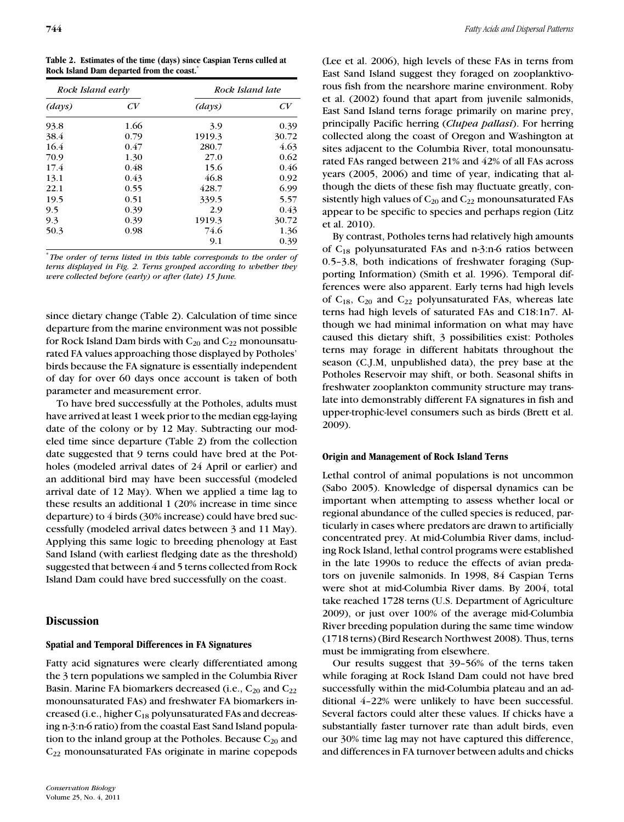**Table 2. Estimates of the time (days) since Caspian Terns culled at Rock Island Dam departed from the coast.**<sup>∗</sup>

| Rock Island early                    |      | Rock Island late               |       |  |
|--------------------------------------|------|--------------------------------|-------|--|
| $\left(\frac{days}{\sqrt{y}}\right)$ | CV   | $\left($ <i>days</i> $\right)$ | CV    |  |
| 93.8                                 | 1.66 | 3.9                            | 0.39  |  |
| 38.4                                 | 0.79 | 1919.3                         | 30.72 |  |
| 16.4                                 | 0.47 | 280.7                          | 4.63  |  |
| 70.9                                 | 1.30 | 27.0                           | 0.62  |  |
| 17.4                                 | 0.48 | 15.6                           | 0.46  |  |
| 13.1                                 | 0.43 | 46.8                           | 0.92  |  |
| 22.1                                 | 0.55 | 428.7                          | 6.99  |  |
| 19.5                                 | 0.51 | 339.5                          | 5.57  |  |
| 9.5                                  | 0.39 | 2.9                            | 0.43  |  |
| 9.3                                  | 0.39 | 1919.3                         | 30.72 |  |
| 50.3                                 | 0.98 | 74.6                           | 1.36  |  |
|                                      |      | 9.1                            | 0.39  |  |

∗ *The order of terns listed in this table corresponds to the order of terns displayed in Fig. 2. Terns grouped according to whether they were collected before (early) or after (late) 15 June.*

since dietary change (Table 2). Calculation of time since departure from the marine environment was not possible for Rock Island Dam birds with  $C_{20}$  and  $C_{22}$  monounsaturated FA values approaching those displayed by Potholes' birds because the FA signature is essentially independent of day for over 60 days once account is taken of both parameter and measurement error.

To have bred successfully at the Potholes, adults must have arrived at least 1 week prior to the median egg-laying date of the colony or by 12 May. Subtracting our modeled time since departure (Table 2) from the collection date suggested that 9 terns could have bred at the Potholes (modeled arrival dates of 24 April or earlier) and an additional bird may have been successful (modeled arrival date of 12 May). When we applied a time lag to these results an additional 1 (20% increase in time since departure) to 4 birds (30% increase) could have bred successfully (modeled arrival dates between 3 and 11 May). Applying this same logic to breeding phenology at East Sand Island (with earliest fledging date as the threshold) suggested that between 4 and 5 terns collected from Rock Island Dam could have bred successfully on the coast.

#### **Discussion**

# **Spatial and Temporal Differences in FA Signatures**

Fatty acid signatures were clearly differentiated among the 3 tern populations we sampled in the Columbia River Basin. Marine FA biomarkers decreased (i.e.,  $C_{20}$  and  $C_{22}$ monounsaturated FAs) and freshwater FA biomarkers increased (i.e., higher  $C_{18}$  polyunsaturated FAs and decreasing n-3:n-6 ratio) from the coastal East Sand Island population to the inland group at the Potholes. Because  $C_{20}$  and  $C_{22}$  monounsaturated FAs originate in marine copepods

(Lee et al. 2006), high levels of these FAs in terns from East Sand Island suggest they foraged on zooplanktivorous fish from the nearshore marine environment. Roby et al. (2002) found that apart from juvenile salmonids, East Sand Island terns forage primarily on marine prey, principally Pacific herring (*Clupea pallasi*). For herring collected along the coast of Oregon and Washington at sites adjacent to the Columbia River, total monounsaturated FAs ranged between 21% and 42% of all FAs across years (2005, 2006) and time of year, indicating that although the diets of these fish may fluctuate greatly, consistently high values of  $C_{20}$  and  $C_{22}$  monounsaturated FAs appear to be specific to species and perhaps region (Litz et al. 2010).

By contrast, Potholes terns had relatively high amounts of  $C_{18}$  polyunsaturated FAs and n-3:n-6 ratios between 0.5–3.8, both indications of freshwater foraging (Supporting Information) (Smith et al. 1996). Temporal differences were also apparent. Early terns had high levels of  $C_{18}$ ,  $C_{20}$  and  $C_{22}$  polyunsaturated FAs, whereas late terns had high levels of saturated FAs and C18:1n7. Although we had minimal information on what may have caused this dietary shift, 3 possibilities exist: Potholes terns may forage in different habitats throughout the season (C.J.M, unpublished data), the prey base at the Potholes Reservoir may shift, or both. Seasonal shifts in freshwater zooplankton community structure may translate into demonstrably different FA signatures in fish and upper-trophic-level consumers such as birds (Brett et al. 2009).

#### **Origin and Management of Rock Island Terns**

Lethal control of animal populations is not uncommon (Sabo 2005). Knowledge of dispersal dynamics can be important when attempting to assess whether local or regional abundance of the culled species is reduced, particularly in cases where predators are drawn to artificially concentrated prey. At mid-Columbia River dams, including Rock Island, lethal control programs were established in the late 1990s to reduce the effects of avian predators on juvenile salmonids. In 1998, 84 Caspian Terns were shot at mid-Columbia River dams. By 2004, total take reached 1728 terns (U.S. Department of Agriculture 2009), or just over 100% of the average mid-Columbia River breeding population during the same time window (1718 terns) (Bird Research Northwest 2008). Thus, terns must be immigrating from elsewhere.

Our results suggest that 39–56% of the terns taken while foraging at Rock Island Dam could not have bred successfully within the mid-Columbia plateau and an additional 4–22% were unlikely to have been successful. Several factors could alter these values. If chicks have a substantially faster turnover rate than adult birds, even our 30% time lag may not have captured this difference, and differences in FA turnover between adults and chicks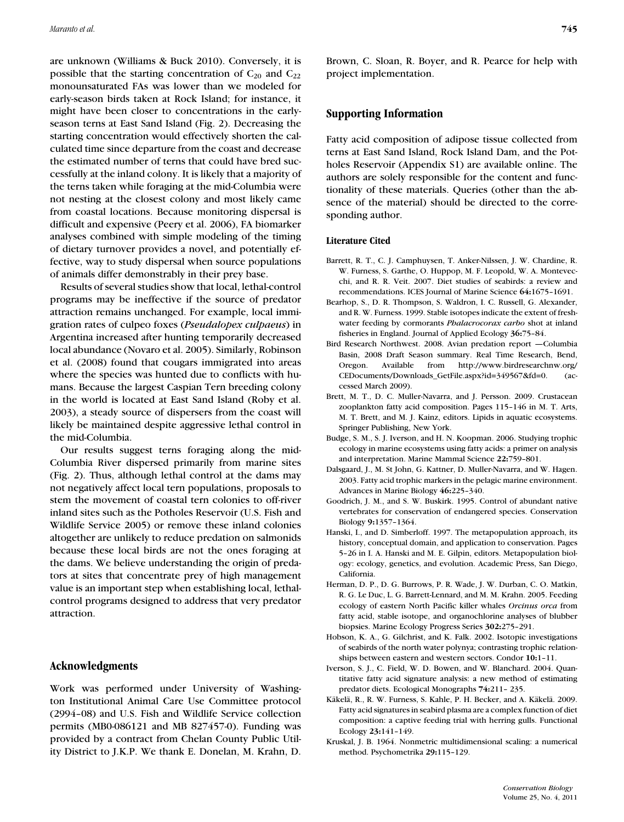are unknown (Williams & Buck 2010). Conversely, it is possible that the starting concentration of  $C_{20}$  and  $C_{22}$ monounsaturated FAs was lower than we modeled for early-season birds taken at Rock Island; for instance, it might have been closer to concentrations in the earlyseason terns at East Sand Island (Fig. 2). Decreasing the starting concentration would effectively shorten the calculated time since departure from the coast and decrease the estimated number of terns that could have bred successfully at the inland colony. It is likely that a majority of the terns taken while foraging at the mid-Columbia were not nesting at the closest colony and most likely came from coastal locations. Because monitoring dispersal is difficult and expensive (Peery et al. 2006), FA biomarker analyses combined with simple modeling of the timing of dietary turnover provides a novel, and potentially effective, way to study dispersal when source populations of animals differ demonstrably in their prey base.

Results of several studies show that local, lethal-control programs may be ineffective if the source of predator attraction remains unchanged. For example, local immigration rates of culpeo foxes (*Pseudalopex culpaeus*) in Argentina increased after hunting temporarily decreased local abundance (Novaro et al. 2005). Similarly, Robinson et al. (2008) found that cougars immigrated into areas where the species was hunted due to conflicts with humans. Because the largest Caspian Tern breeding colony in the world is located at East Sand Island (Roby et al. 2003), a steady source of dispersers from the coast will likely be maintained despite aggressive lethal control in the mid-Columbia.

Our results suggest terns foraging along the mid-Columbia River dispersed primarily from marine sites (Fig. 2). Thus, although lethal control at the dams may not negatively affect local tern populations, proposals to stem the movement of coastal tern colonies to off-river inland sites such as the Potholes Reservoir (U.S. Fish and Wildlife Service 2005) or remove these inland colonies altogether are unlikely to reduce predation on salmonids because these local birds are not the ones foraging at the dams. We believe understanding the origin of predators at sites that concentrate prey of high management value is an important step when establishing local, lethalcontrol programs designed to address that very predator attraction.

## **Acknowledgments**

Work was performed under University of Washington Institutional Animal Care Use Committee protocol (2994–08) and U.S. Fish and Wildlife Service collection permits (MB0-086121 and MB 827457-0). Funding was provided by a contract from Chelan County Public Utility District to J.K.P. We thank E. Donelan, M. Krahn, D. Brown, C. Sloan, R. Boyer, and R. Pearce for help with project implementation.

#### **Supporting Information**

Fatty acid composition of adipose tissue collected from terns at East Sand Island, Rock Island Dam, and the Potholes Reservoir (Appendix S1) are available online. The authors are solely responsible for the content and functionality of these materials. Queries (other than the absence of the material) should be directed to the corresponding author.

#### **Literature Cited**

- Barrett, R. T., C. J. Camphuysen, T. Anker-Nilssen, J. W. Chardine, R. W. Furness, S. Garthe, O. Huppop, M. F. Leopold, W. A. Montevecchi, and R. R. Veit. 2007. Diet studies of seabirds: a review and recommendations. ICES Journal of Marine Science **64:**1675–1691.
- Bearhop, S., D. R. Thompson, S. Waldron, I. C. Russell, G. Alexander, and R. W. Furness. 1999. Stable isotopes indicate the extent of freshwater feeding by cormorants *Phalacrocorax carbo* shot at inland fisheries in England. Journal of Applied Ecology **36:**75–84.
- Bird Research Northwest. 2008. Avian predation report —Columbia Basin, 2008 Draft Season summary. Real Time Research, Bend, Oregon. Available from http://www.birdresearchnw.org/ CEDocuments/Downloads\_GetFile.aspx?id=349567&fd=0. (accessed March 2009).
- Brett, M. T., D. C. Muller-Navarra, and J. Persson. 2009. Crustacean zooplankton fatty acid composition. Pages 115–146 in M. T. Arts, M. T. Brett, and M. J. Kainz, editors. Lipids in aquatic ecosystems. Springer Publishing, New York.
- Budge, S. M., S. J. Iverson, and H. N. Koopman. 2006. Studying trophic ecology in marine ecosystems using fatty acids: a primer on analysis and interpretation. Marine Mammal Science **22:**759–801.
- Dalsgaard, J., M. St John, G. Kattner, D. Muller-Navarra, and W. Hagen. 2003. Fatty acid trophic markers in the pelagic marine environment. Advances in Marine Biology **46:**225–340.
- Goodrich, J. M., and S. W. Buskirk. 1995. Control of abundant native vertebrates for conservation of endangered species. Conservation Biology **9:**1357–1364.
- Hanski, I., and D. Simberloff. 1997. The metapopulation approach, its history, conceptual domain, and application to conservation. Pages 5–26 in I. A. Hanski and M. E. Gilpin, editors. Metapopulation biology: ecology, genetics, and evolution. Academic Press, San Diego, California.
- Herman, D. P., D. G. Burrows, P. R. Wade, J. W. Durban, C. O. Matkin, R. G. Le Duc, L. G. Barrett-Lennard, and M. M. Krahn. 2005. Feeding ecology of eastern North Pacific killer whales *Orcinus orca* from fatty acid, stable isotope, and organochlorine analyses of blubber biopsies. Marine Ecology Progress Series **302:**275–291.
- Hobson, K. A., G. Gilchrist, and K. Falk. 2002. Isotopic investigations of seabirds of the north water polynya; contrasting trophic relationships between eastern and western sectors. Condor **10:**1–11.
- Iverson, S. J., C. Field, W. D. Bowen, and W. Blanchard. 2004. Quantitative fatty acid signature analysis: a new method of estimating predator diets. Ecological Monographs **74:**211– 235.
- Käkelä, R., R. W. Furness, S. Kahle, P. H. Becker, and A. Käkelä. 2009. Fatty acid signatures in seabird plasma are a complex function of diet composition: a captive feeding trial with herring gulls. Functional Ecology **23:**141–149.
- Kruskal, J. B. 1964. Nonmetric multidimensional scaling: a numerical method. Psychometrika **29:**115–129.